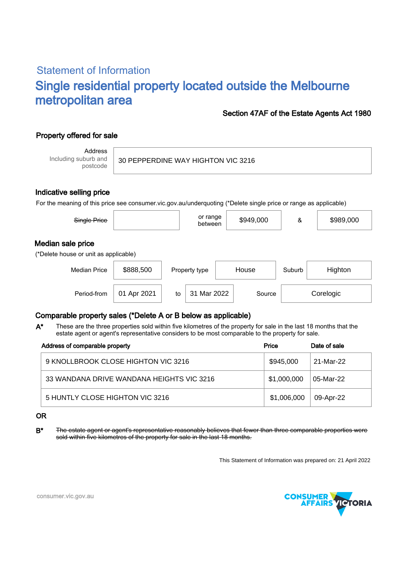# Statement of Information Single residential property located outside the Melbourne metropolitan area

### Section 47AF of the Estate Agents Act 1980

## Property offered for sale

Address Including suburb and postcode

| 30 PEPPERDINE WAY HIGHTON VIC 3216 |  |  |
|------------------------------------|--|--|
|                                    |  |  |

### Indicative selling price

For the meaning of this price see consumer.vic.gov.au/underquoting (\*Delete single price or range as applicable)

| Single Price                                               |             |    | or range<br>between |       | \$949,000 | &      | \$989,000 |  |  |
|------------------------------------------------------------|-------------|----|---------------------|-------|-----------|--------|-----------|--|--|
| Median sale price<br>(*Delete house or unit as applicable) |             |    |                     |       |           |        |           |  |  |
| <b>Median Price</b>                                        | \$888,500   |    | Property type       | House |           | Suburb | Highton   |  |  |
| Period-from                                                | 01 Apr 2021 | to | Mar 2022<br>31      |       | Source    |        | Corelogic |  |  |

## Comparable property sales (\*Delete A or B below as applicable)

These are the three properties sold within five kilometres of the property for sale in the last 18 months that the estate agent or agent's representative considers to be most comparable to the property for sale. A\*

| Address of comparable property            | Price       | Date of sale |  |
|-------------------------------------------|-------------|--------------|--|
| 9 KNOLLBROOK CLOSE HIGHTON VIC 3216       | \$945,000   | 21-Mar-22    |  |
| 33 WANDANA DRIVE WANDANA HEIGHTS VIC 3216 | \$1,000,000 | 05-Mar-22    |  |
| 5 HUNTLY CLOSE HIGHTON VIC 3216           | \$1,006,000 | 09-Apr-22    |  |

#### OR

B\* The estate agent or agent's representative reasonably believes that fewer than three comparable properties were sold within five kilometres of the property for sale in the last 18 months.

This Statement of Information was prepared on: 21 April 2022



consumer.vic.gov.au